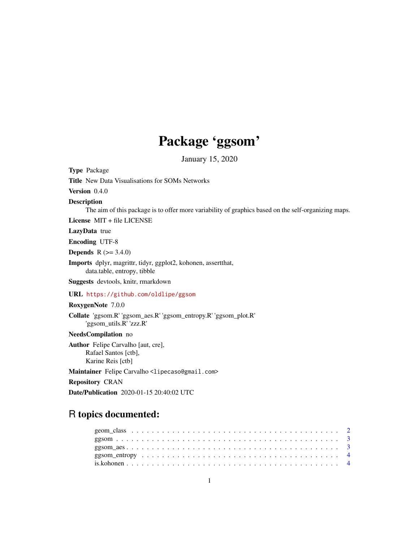## Package 'ggsom'

January 15, 2020

Type Package

Title New Data Visualisations for SOMs Networks

Version 0.4.0

Description

The aim of this package is to offer more variability of graphics based on the self-organizing maps.

License MIT + file LICENSE

LazyData true

Encoding UTF-8

**Depends** R  $(>= 3.4.0)$ 

Imports dplyr, magrittr, tidyr, ggplot2, kohonen, assertthat, data.table, entropy, tibble

Suggests devtools, knitr, rmarkdown

URL <https://github.com/oldlipe/ggsom>

#### RoxygenNote 7.0.0

Collate 'ggsom.R' 'ggsom\_aes.R' 'ggsom\_entropy.R' 'ggsom\_plot.R' 'ggsom\_utils.R' 'zzz.R'

#### NeedsCompilation no

Author Felipe Carvalho [aut, cre], Rafael Santos [ctb], Karine Reis [ctb]

Maintainer Felipe Carvalho <lipecaso@gmail.com>

Repository CRAN

Date/Publication 2020-01-15 20:40:02 UTC

### R topics documented: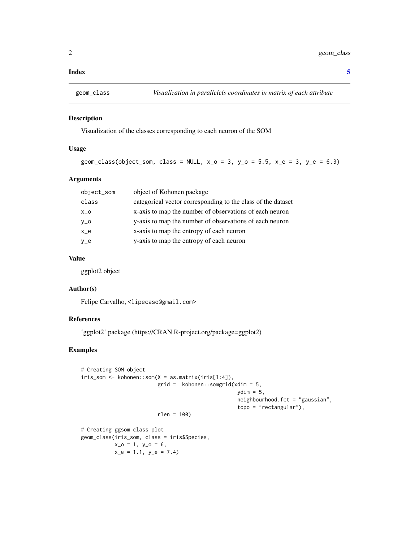#### <span id="page-1-0"></span>**Index** [5](#page-4-0). The second state of the second state of the second state of the second state of the second state of the second state of the second state of the second state of the second state of the second state of the second

#### Description

Visualization of the classes corresponding to each neuron of the SOM

#### Usage

```
geom_class(object_som, class = NULL, x_0 = 3, y_0 = 5.5, x_e = 3, y_e = 6.3)
```
#### Arguments

| object_som | object of Kohonen package                                    |
|------------|--------------------------------------------------------------|
| class      | categorical vector corresponding to the class of the dataset |
| $X_0$      | x-axis to map the number of observations of each neuron      |
| $y_0$      | y-axis to map the number of observations of each neuron      |
| $x_e$      | x-axis to map the entropy of each neuron                     |
| $V_e$      | y-axis to map the entropy of each neuron                     |

#### Value

ggplot2 object

#### Author(s)

Felipe Carvalho, <lipecaso@gmail.com>

#### References

'ggplot2' package (https://CRAN.R-project.org/package=ggplot2)

#### Examples

```
# Creating SOM object
iris\_som \leftarrow kohonen::som(X = as_matrix(iris[1:4]),grid = kohonen::somgrid(xdim = 5,
                                                     ydim = 5,
                                                     neighbourhood.fct = "gaussian",
                                                     topo = "rectangular"),
                          rlen = 100)
```

```
# Creating ggsom class plot
geom_class(iris_som, class = iris$Species,
          x_0 = 1, y_0 = 6,
          x_e = 1.1, y_e = 7.4
```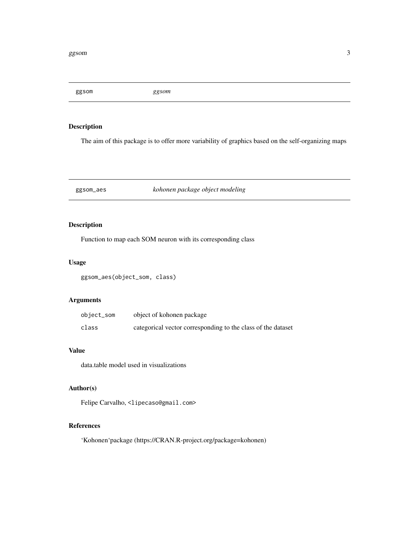<span id="page-2-0"></span>ggsom *ggsom*

#### Description

The aim of this package is to offer more variability of graphics based on the self-organizing maps

#### ggsom\_aes *kohonen package object modeling*

#### Description

Function to map each SOM neuron with its corresponding class

#### Usage

ggsom\_aes(object\_som, class)

#### Arguments

| object_som | object of kohonen package                                    |
|------------|--------------------------------------------------------------|
| class      | categorical vector corresponding to the class of the dataset |

#### Value

data.table model used in visualizations

#### Author(s)

Felipe Carvalho, <lipecaso@gmail.com>

#### References

'Kohonen'package (https://CRAN.R-project.org/package=kohonen)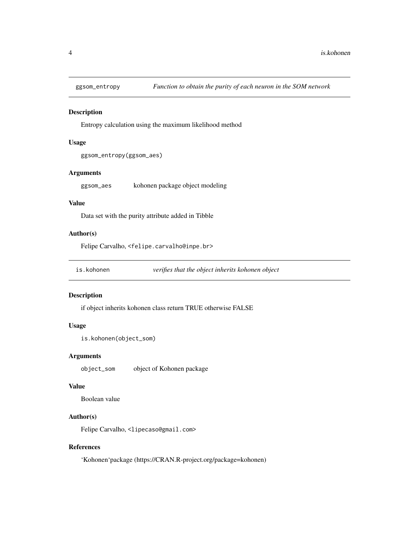<span id="page-3-0"></span>

#### Description

Entropy calculation using the maximum likelihood method

#### Usage

```
ggsom_entropy(ggsom_aes)
```
#### Arguments

ggsom\_aes kohonen package object modeling

#### Value

Data set with the purity attribute added in Tibble

#### Author(s)

Felipe Carvalho, <felipe.carvalho@inpe.br>

is.kohonen *verifies that the object inherits kohonen object*

#### Description

if object inherits kohonen class return TRUE otherwise FALSE

#### Usage

is.kohonen(object\_som)

#### Arguments

object\_som object of Kohonen package

#### Value

Boolean value

#### Author(s)

Felipe Carvalho, <lipecaso@gmail.com>

#### References

'Kohonen'package (https://CRAN.R-project.org/package=kohonen)